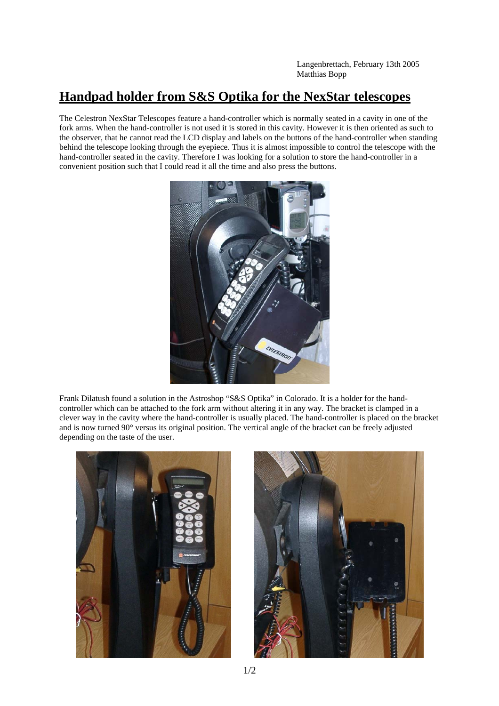Langenbrettach, February 13th 2005 Matthias Bopp

## **Handpad holder from S&S Optika for the NexStar telescopes**

The Celestron NexStar Telescopes feature a hand-controller which is normally seated in a cavity in one of the fork arms. When the hand-controller is not used it is stored in this cavity. However it is then oriented as such to the observer, that he cannot read the LCD display and labels on the buttons of the hand-controller when standing behind the telescope looking through the eyepiece. Thus it is almost impossible to control the telescope with the hand-controller seated in the cavity. Therefore I was looking for a solution to store the hand-controller in a convenient position such that I could read it all the time and also press the buttons.



Frank Dilatush found a solution in the Astroshop "S&S Optika" in Colorado. It is a holder for the handcontroller which can be attached to the fork arm without altering it in any way. The bracket is clamped in a clever way in the cavity where the hand-controller is usually placed. The hand-controller is placed on the bracket and is now turned 90° versus its original position. The vertical angle of the bracket can be freely adjusted depending on the taste of the user.